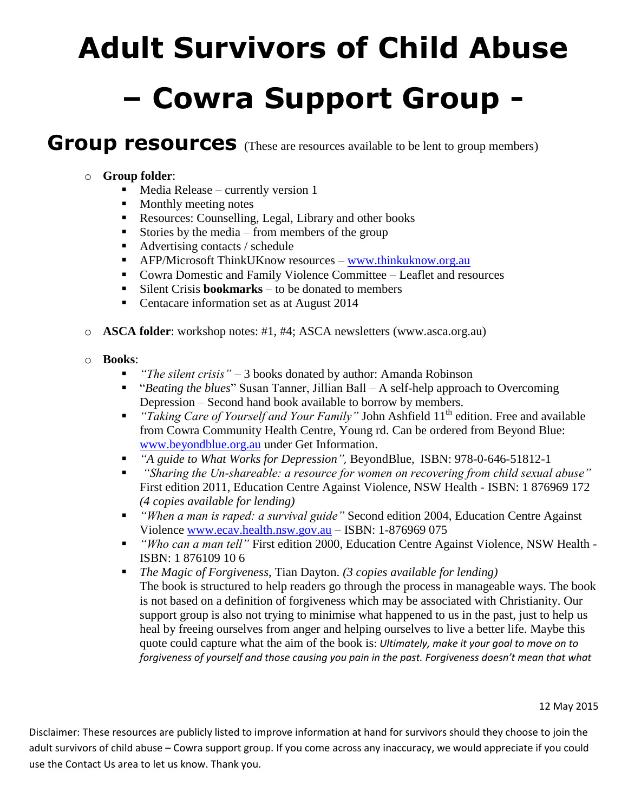## **Adult Survivors of Child Abuse – Cowra Support Group -**

## **Group resources** (These are resources available to be lent to group members)

## o **Group folder**:

- $\blacksquare$  Media Release currently version 1
- Monthly meeting notes
- Resources: Counselling, Legal, Library and other books
- Stories by the media from members of the group
- Advertising contacts / schedule
- AFP/Microsoft ThinkUKnow resources [www.thinkuknow.org.au](http://www.thinkuknow.org.au/)
- Cowra Domestic and Family Violence Committee Leaflet and resources
- Silent Crisis **bookmarks** to be donated to members
- Centacare information set as at August 2014
- o **ASCA folder**: workshop notes: #1, #4; ASCA newsletters (www.asca.org.au)
- o **Books**:
	- *"The silent crisis"* 3 books donated by author: Amanda Robinson
	- "*Beating the blues*" Susan Tanner, Jillian Ball A self-help approach to Overcoming Depression – Second hand book available to borrow by members.
	- **"** "Taking Care of Yourself and Your Family" John Ashfield 11<sup>th</sup> edition. Free and available from Cowra Community Health Centre, Young rd. Can be ordered from Beyond Blue: [www.beyondblue.org.au](http://www.beyondblue.org.au/) under Get Information.
	- *"A guide to What Works for Depression",* BeyondBlue, ISBN: 978-0-646-51812-1
	- *"Sharing the Un-shareable: a resource for women on recovering from child sexual abuse"*  First edition 2011, Education Centre Against Violence, NSW Health - ISBN: 1 876969 172 *(4 copies available for lending)*
	- *"When a man is raped: a survival guide"* Second edition 2004, Education Centre Against Violence [www.ecav.health.nsw.gov.au](http://www.ecav.health.nsw.gov.au/) – ISBN: 1-876969 075
	- *"Who can a man tell"* First edition 2000, Education Centre Against Violence, NSW Health ISBN: 1 876109 10 6
	- *The Magic of Forgiveness*, Tian Dayton. *(3 copies available for lending)* The book is structured to help readers go through the process in manageable ways. The book is not based on a definition of forgiveness which may be associated with Christianity. Our support group is also not trying to minimise what happened to us in the past, just to help us heal by freeing ourselves from anger and helping ourselves to live a better life. Maybe this quote could capture what the aim of the book is: *Ultimately, make it your goal to move on to forgiveness of yourself and those causing you pain in the past. Forgiveness doesn't mean that what*

12 May 2015

Disclaimer: These resources are publicly listed to improve information at hand for survivors should they choose to join the adult survivors of child abuse – Cowra support group. If you come across any inaccuracy, we would appreciate if you could use the Contact Us area to let us know. Thank you.